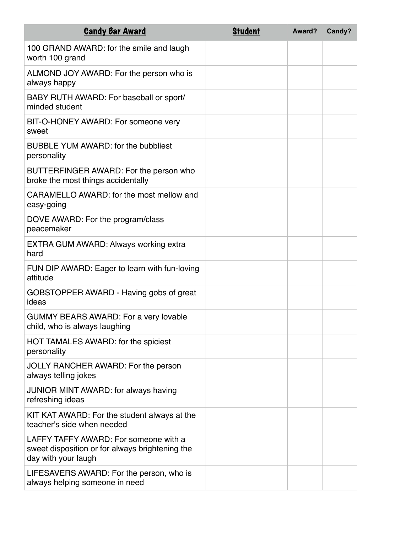| <b>Candy Bar Award</b>                                                                                          | <b>Student</b> | Award? | Candy? |
|-----------------------------------------------------------------------------------------------------------------|----------------|--------|--------|
| 100 GRAND AWARD: for the smile and laugh<br>worth 100 grand                                                     |                |        |        |
| ALMOND JOY AWARD: For the person who is<br>always happy                                                         |                |        |        |
| BABY RUTH AWARD: For baseball or sport/<br>minded student                                                       |                |        |        |
| BIT-O-HONEY AWARD: For someone very<br>sweet                                                                    |                |        |        |
| <b>BUBBLE YUM AWARD: for the bubbliest</b><br>personality                                                       |                |        |        |
| BUTTERFINGER AWARD: For the person who<br>broke the most things accidentally                                    |                |        |        |
| CARAMELLO AWARD: for the most mellow and<br>easy-going                                                          |                |        |        |
| DOVE AWARD: For the program/class<br>peacemaker                                                                 |                |        |        |
| EXTRA GUM AWARD: Always working extra<br>hard                                                                   |                |        |        |
| FUN DIP AWARD: Eager to learn with fun-loving<br>attitude                                                       |                |        |        |
| GOBSTOPPER AWARD - Having gobs of great<br>ideas                                                                |                |        |        |
| <b>GUMMY BEARS AWARD: For a very lovable</b><br>child, who is always laughing                                   |                |        |        |
| HOT TAMALES AWARD: for the spiciest<br>personality                                                              |                |        |        |
| JOLLY RANCHER AWARD: For the person<br>always telling jokes                                                     |                |        |        |
| JUNIOR MINT AWARD: for always having<br>refreshing ideas                                                        |                |        |        |
| KIT KAT AWARD: For the student always at the<br>teacher's side when needed                                      |                |        |        |
| LAFFY TAFFY AWARD: For someone with a<br>sweet disposition or for always brightening the<br>day with your laugh |                |        |        |
| LIFESAVERS AWARD: For the person, who is<br>always helping someone in need                                      |                |        |        |